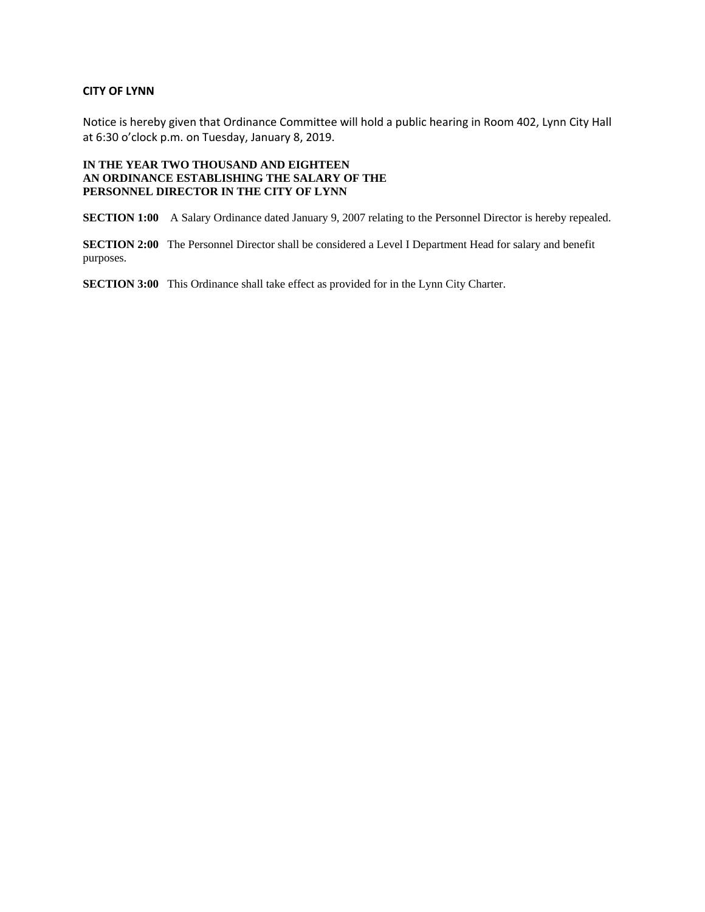#### **CITY OF LYNN**

Notice is hereby given that Ordinance Committee will hold a public hearing in Room 402, Lynn City Hall at 6:30 o'clock p.m. on Tuesday, January 8, 2019.

#### **IN THE YEAR TWO THOUSAND AND EIGHTEEN AN ORDINANCE ESTABLISHING THE SALARY OF THE PERSONNEL DIRECTOR IN THE CITY OF LYNN**

**SECTION 1:00** A Salary Ordinance dated January 9, 2007 relating to the Personnel Director is hereby repealed.

**SECTION 2:00** The Personnel Director shall be considered a Level I Department Head for salary and benefit purposes.

**SECTION 3:00** This Ordinance shall take effect as provided for in the Lynn City Charter.